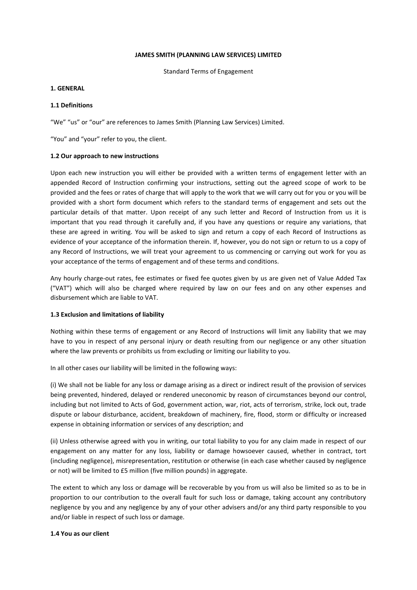### **JAMES SMITH (PLANNING LAW SERVICES) LIMITED**

Standard Terms of Engagement

## **1. GENERAL**

# **1.1 Definitions**

"We" "us" or "our" are references to James Smith (Planning Law Services) Limited.

"You" and "your" refer to you, the client.

### **1.2 Our approach to new instructions**

Upon each new instruction you will either be provided with a written terms of engagement letter with an appended Record of Instruction confirming your instructions, setting out the agreed scope of work to be provided and the fees or rates of charge that will apply to the work that we will carry out for you or you will be provided with a short form document which refers to the standard terms of engagement and sets out the particular details of that matter. Upon receipt of any such letter and Record of Instruction from us it is important that you read through it carefully and, if you have any questions or require any variations, that these are agreed in writing. You will be asked to sign and return a copy of each Record of Instructions as evidence of your acceptance of the information therein. If, however, you do not sign or return to us a copy of any Record of Instructions, we will treat your agreement to us commencing or carrying out work for you as your acceptance of the terms of engagement and of these terms and conditions.

Any hourly charge-out rates, fee estimates or fixed fee quotes given by us are given net of Value Added Tax ("VAT") which will also be charged where required by law on our fees and on any other expenses and disbursement which are liable to VAT.

#### **1.3 Exclusion and limitations of liability**

Nothing within these terms of engagement or any Record of Instructions will limit any liability that we may have to you in respect of any personal injury or death resulting from our negligence or any other situation where the law prevents or prohibits us from excluding or limiting our liability to you.

In all other cases our liability will be limited in the following ways:

(i) We shall not be liable for any loss or damage arising as a direct or indirect result of the provision of services being prevented, hindered, delayed or rendered uneconomic by reason of circumstances beyond our control, including but not limited to Acts of God, government action, war, riot, acts of terrorism, strike, lock out, trade dispute or labour disturbance, accident, breakdown of machinery, fire, flood, storm or difficulty or increased expense in obtaining information or services of any description; and

(ii) Unless otherwise agreed with you in writing, our total liability to you for any claim made in respect of our engagement on any matter for any loss, liability or damage howsoever caused, whether in contract, tort (including negligence), misrepresentation, restitution or otherwise (in each case whether caused by negligence or not) will be limited to £5 million (five million pounds) in aggregate.

The extent to which any loss or damage will be recoverable by you from us will also be limited so as to be in proportion to our contribution to the overall fault for such loss or damage, taking account any contributory negligence by you and any negligence by any of your other advisers and/or any third party responsible to you and/or liable in respect of such loss or damage.

#### **1.4 You as our client**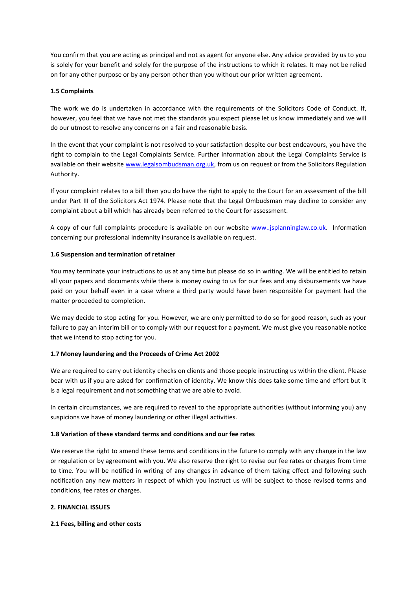You confirm that you are acting as principal and not as agent for anyone else. Any advice provided by us to you is solely for your benefit and solely for the purpose of the instructions to which it relates. It may not be relied on for any other purpose or by any person other than you without our prior written agreement.

# **1.5 Complaints**

The work we do is undertaken in accordance with the requirements of the Solicitors Code of Conduct. If, however, you feel that we have not met the standards you expect please let us know immediately and we will do our utmost to resolve any concerns on a fair and reasonable basis.

In the event that your complaint is not resolved to your satisfaction despite our best endeavours, you have the right to complain to the Legal Complaints Service. Further information about the Legal Complaints Service is available on their website [www.legalsombudsman.org.uk,](http://www.legalsombudsman.org.uk/) from us on request or from the Solicitors Regulation Authority.

If your complaint relates to a bill then you do have the right to apply to the Court for an assessment of the bill under Part III of the Solicitors Act 1974. Please note that the Legal Ombudsman may decline to consider any complaint about a bill which has already been referred to the Court for assessment.

A copy of our full complaints procedure is available on our website [www..jsplanninglaw.co.uk.](http://www.jsplanninglaw.co.uk/) Information concerning our professional indemnity insurance is available on request.

## **1.6 Suspension and termination of retainer**

You may terminate your instructions to us at any time but please do so in writing. We will be entitled to retain all your papers and documents while there is money owing to us for our fees and any disbursements we have paid on your behalf even in a case where a third party would have been responsible for payment had the matter proceeded to completion.

We may decide to stop acting for you. However, we are only permitted to do so for good reason, such as your failure to pay an interim bill or to comply with our request for a payment. We must give you reasonable notice that we intend to stop acting for you.

# **1.7 Money laundering and the Proceeds of Crime Act 2002**

We are required to carry out identity checks on clients and those people instructing us within the client. Please bear with us if you are asked for confirmation of identity. We know this does take some time and effort but it is a legal requirement and not something that we are able to avoid.

In certain circumstances, we are required to reveal to the appropriate authorities (without informing you) any suspicions we have of money laundering or other illegal activities.

## **1.8 Variation of these standard terms and conditions and our fee rates**

We reserve the right to amend these terms and conditions in the future to comply with any change in the law or regulation or by agreement with you. We also reserve the right to revise our fee rates or charges from time to time. You will be notified in writing of any changes in advance of them taking effect and following such notification any new matters in respect of which you instruct us will be subject to those revised terms and conditions, fee rates or charges.

## **2. FINANCIAL ISSUES**

## **2.1 Fees, billing and other costs**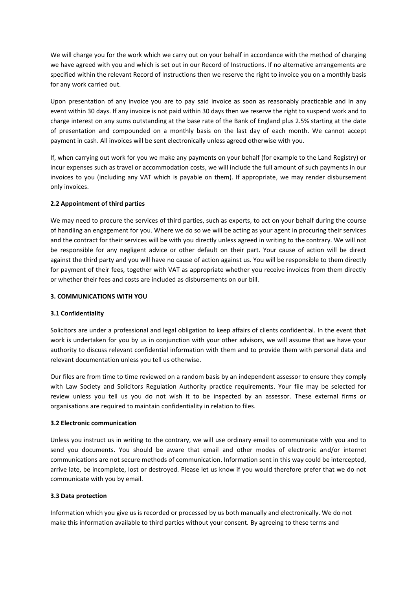We will charge you for the work which we carry out on your behalf in accordance with the method of charging we have agreed with you and which is set out in our Record of Instructions. If no alternative arrangements are specified within the relevant Record of Instructions then we reserve the right to invoice you on a monthly basis for any work carried out.

Upon presentation of any invoice you are to pay said invoice as soon as reasonably practicable and in any event within 30 days. If any invoice is not paid within 30 days then we reserve the right to suspend work and to charge interest on any sums outstanding at the base rate of the Bank of England plus 2.5% starting at the date of presentation and compounded on a monthly basis on the last day of each month. We cannot accept payment in cash. All invoices will be sent electronically unless agreed otherwise with you.

If, when carrying out work for you we make any payments on your behalf (for example to the Land Registry) or incur expenses such as travel or accommodation costs, we will include the full amount of such payments in our invoices to you (including any VAT which is payable on them). If appropriate, we may render disbursement only invoices.

## **2.2 Appointment of third parties**

We may need to procure the services of third parties, such as experts, to act on your behalf during the course of handling an engagement for you. Where we do so we will be acting as your agent in procuring their services and the contract for their services will be with you directly unless agreed in writing to the contrary. We will not be responsible for any negligent advice or other default on their part. Your cause of action will be direct against the third party and you will have no cause of action against us. You will be responsible to them directly for payment of their fees, together with VAT as appropriate whether you receive invoices from them directly or whether their fees and costs are included as disbursements on our bill.

#### **3. COMMUNICATIONS WITH YOU**

#### **3.1 Confidentiality**

Solicitors are under a professional and legal obligation to keep affairs of clients confidential. In the event that work is undertaken for you by us in conjunction with your other advisors, we will assume that we have your authority to discuss relevant confidential information with them and to provide them with personal data and relevant documentation unless you tell us otherwise.

Our files are from time to time reviewed on a random basis by an independent assessor to ensure they comply with Law Society and Solicitors Regulation Authority practice requirements. Your file may be selected for review unless you tell us you do not wish it to be inspected by an assessor. These external firms or organisations are required to maintain confidentiality in relation to files.

#### **3.2 Electronic communication**

Unless you instruct us in writing to the contrary, we will use ordinary email to communicate with you and to send you documents. You should be aware that email and other modes of electronic and/or internet communications are not secure methods of communication. Information sent in this way could be intercepted, arrive late, be incomplete, lost or destroyed. Please let us know if you would therefore prefer that we do not communicate with you by email.

#### **3.3 Data protection**

Information which you give us is recorded or processed by us both manually and electronically. We do not make this information available to third parties without your consent. By agreeing to these terms and